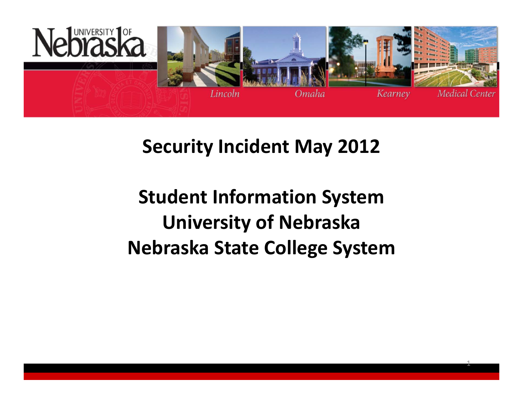

## **Security Incident May 2012**

## **Student Information System University of Nebraska Nebraska State College System**

1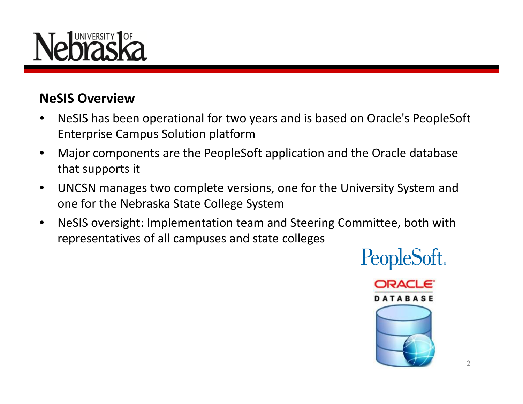# NIVERSITY

### **NeSIS Overview**

- • NeSIS has been operational for two years and is based on Oracle's PeopleSoft Enterprise Campus Solution platform
- • Major components are the PeopleSoft application and the Oracle database that supports it
- $\bullet$  UNCSN manages two complete versions, one for the University System and one for the Nebraska State College System
- • NeSIS oversight: Implementation team and Steering Committee, both with representatives of all campuses and state colleges

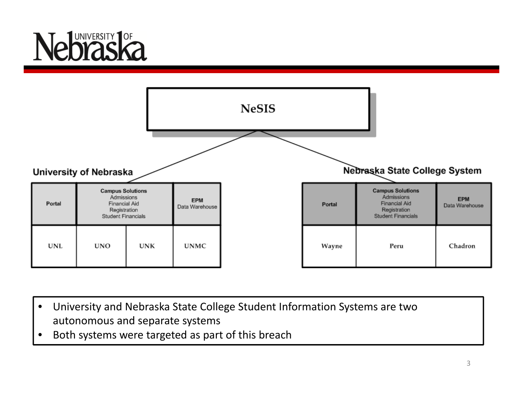# JNIVERSITY<sup>1</sup>OF



- • University and Nebraska State College Student Information Systems are two autonomous and separate systems
- •• Both systems were targeted as part of this breach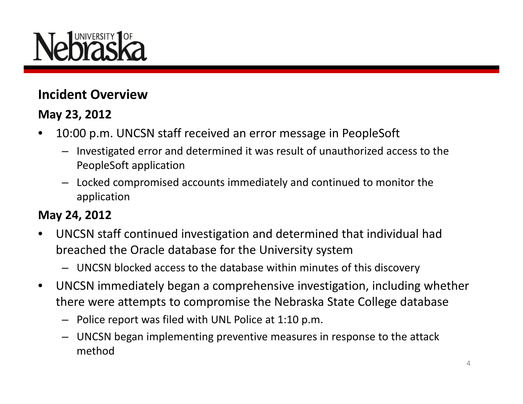

### **Incident Overview**

### **May 23, 2012**

- • 10:00 p.m. UNCSN staff received an error message in PeopleSoft
	- Investigated error and determined it was result of unauthorized access to the PeopleSoft application
	- Locked compromised accounts immediately and continued to monitor the application

### **May 24, 2012**

- • UNCSN staff continued investigation and determined that individual had breached the Oracle database for the University system
	- UNCSN blocked access to the database within minutes of this discovery
- • UNCSN immediately began <sup>a</sup> comprehensive investigation, including whether there were attempts to compromise the Nebraska State College database
	- Police report was filed with UNL Police at 1:10 p.m.
	- UNCSN began implementing preventive measures in response to the attack method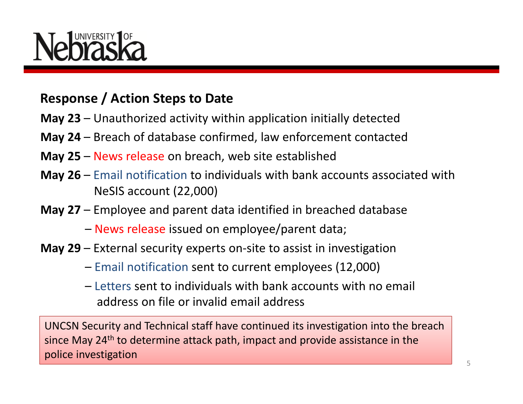### **Response / Action Steps to Date**

- **May 23** Unauthorized activity within application initially detected
- **May 24** Breach of database confirmed, law enforcement contacted
- **May 25** News release on breach, web site established
- **May 26** Email notification to individuals with bank accounts associated with NeSIS account (22,000)
- **May 27** Employee and parent data identified in breached database
	- News release issued on employee/parent data;
- **May 29** External security experts on‐site to assist in investigation
	- Email notification sent to current employees (12,000)
	- Letters sent to individuals with bank accounts with no email address on file or invalid email address

UNCSN Security and Technical staff have continued its investigation into the breach since May 24<sup>th</sup> to determine attack path, impact and provide assistance in the police investigation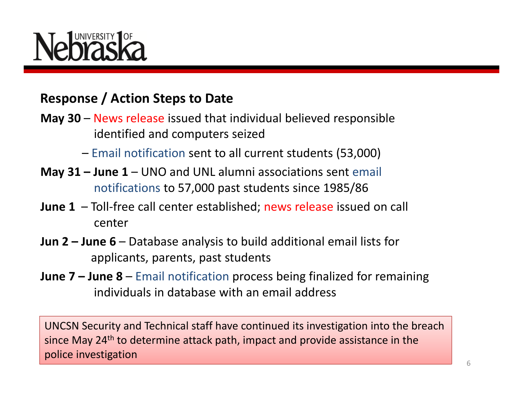# NIVERSITY

### **Response / Action Steps to Date**

- **May 30** News release issued that individual believed responsible identified and computers seized
	- Email notification sent to all current students (53,000)
- **May 31 – June 1** UNO and UNL alumni associations sent email notifications to 57,000 past students since 1985/86
- **June 1** Toll‐free call center established; news release issued on call center
- **Jun 2 – June 6** Database analysis to build additional email lists for applicants, parents, past students
- **June 7 – June 8** Email notification process being finalized for remaining individuals in database with an email address

UNCSN Security and Technical staff have continued its investigation into the breach since May 24<sup>th</sup> to determine attack path, impact and provide assistance in the police investigation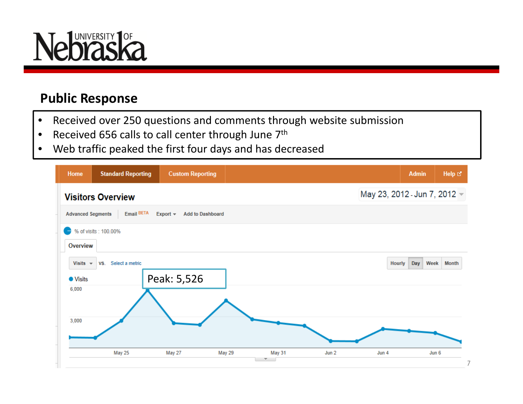

### **Public Response**

- $\bullet$ Received over 250 questions and comments through website submission
- $\bullet$ • Received 656 calls to call center through June  $7<sup>th</sup>$
- •Web traffic peaked the first four days and has decreased

| Home                             | <b>Standard Reporting</b> | <b>Custom Reporting</b>                   |                  |       |                              | <b>Admin</b> | Help <sup>[2]</sup> |
|----------------------------------|---------------------------|-------------------------------------------|------------------|-------|------------------------------|--------------|---------------------|
| <b>Visitors Overview</b>         |                           |                                           |                  |       | May 23, 2012 - Jun 7, 2012 - |              |                     |
| <b>Advanced Segments</b>         | Email BETA                | <b>Add to Dashboard</b><br>Export $\star$ |                  |       |                              |              |                     |
| -                                | % of visits : 100.00%     |                                           |                  |       |                              |              |                     |
| Overview                         |                           |                                           |                  |       |                              |              |                     |
| Visits $\sim$<br><b>O</b> Visits | Select a metric<br>VS.    |                                           |                  |       | <b>Hourly</b>                | Day<br>Week  | <b>Month</b>        |
| 6,000                            |                           | Peak: 5,526                               |                  |       |                              |              |                     |
| 3,000                            |                           |                                           |                  |       |                              |              |                     |
|                                  | May 25                    | May 27                                    | May 29<br>May 31 | Jun 2 | Jun 4                        | Jun 6        | 7                   |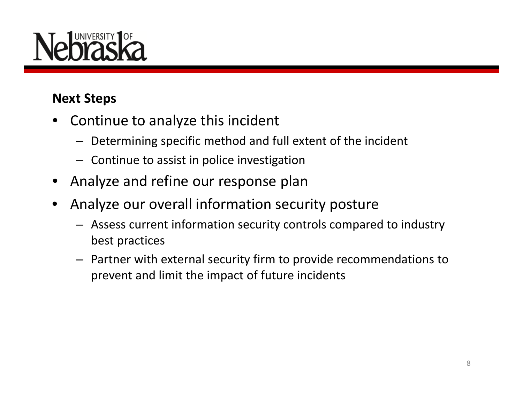# **NIVERSITY**

### **Next Steps**

- • Continue to analyze this incident
	- Determining specific method and full extent of the incident
	- Continue to assist in police investigation
- •Analyze and refine our response plan
- $\bullet$  Analyze our overall information security posture
	- Assess current information security controls compared to industry best practices
	- Partner with external security firm to provide recommendations to prevent and limit the impact of future incidents